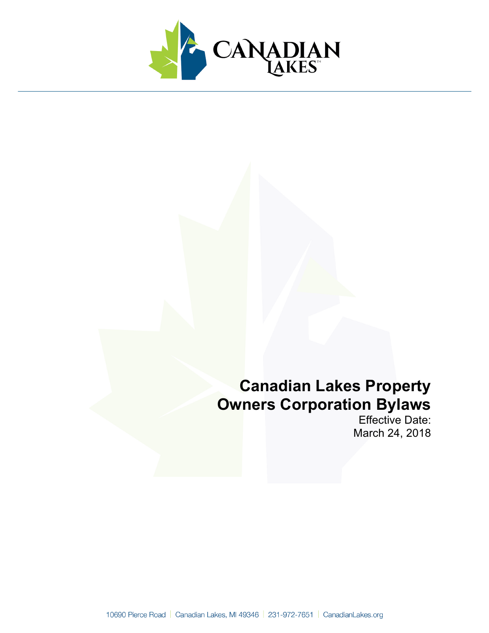

# **Canadian Lakes Property Owners Corporation Bylaws**

Effective Date: March 24, 2018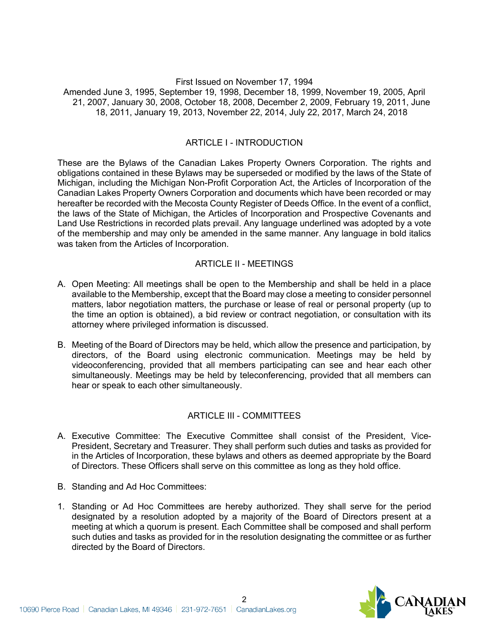#### First Issued on November 17, 1994 Amended June 3, 1995, September 19, 1998, December 18, 1999, November 19, 2005, April 21, 2007, January 30, 2008, October 18, 2008, December 2, 2009, February 19, 2011, June 18, 2011, January 19, 2013, November 22, 2014, July 22, 2017, March 24, 2018

## ARTICLE I - INTRODUCTION

These are the Bylaws of the Canadian Lakes Property Owners Corporation. The rights and obligations contained in these Bylaws may be superseded or modified by the laws of the State of Michigan, including the Michigan Non-Profit Corporation Act, the Articles of Incorporation of the Canadian Lakes Property Owners Corporation and documents which have been recorded or may hereafter be recorded with the Mecosta County Register of Deeds Office. In the event of a conflict, the laws of the State of Michigan, the Articles of Incorporation and Prospective Covenants and Land Use Restrictions in recorded plats prevail. Any language underlined was adopted by a vote of the membership and may only be amended in the same manner. Any language in bold italics was taken from the Articles of Incorporation.

#### ARTICLE II - MEETINGS

- A. Open Meeting: All meetings shall be open to the Membership and shall be held in a place available to the Membership, except that the Board may close a meeting to consider personnel matters, labor negotiation matters, the purchase or lease of real or personal property (up to the time an option is obtained), a bid review or contract negotiation, or consultation with its attorney where privileged information is discussed.
- B. Meeting of the Board of Directors may be held, which allow the presence and participation, by directors, of the Board using electronic communication. Meetings may be held by videoconferencing, provided that all members participating can see and hear each other simultaneously. Meetings may be held by teleconferencing, provided that all members can hear or speak to each other simultaneously.

#### ARTICLE III - COMMITTEES

- A. Executive Committee: The Executive Committee shall consist of the President, Vice-President, Secretary and Treasurer. They shall perform such duties and tasks as provided for in the Articles of Incorporation, these bylaws and others as deemed appropriate by the Board of Directors. These Officers shall serve on this committee as long as they hold office.
- B. Standing and Ad Hoc Committees:
- 1. Standing or Ad Hoc Committees are hereby authorized. They shall serve for the period designated by a resolution adopted by a majority of the Board of Directors present at a meeting at which a quorum is present. Each Committee shall be composed and shall perform such duties and tasks as provided for in the resolution designating the committee or as further directed by the Board of Directors.

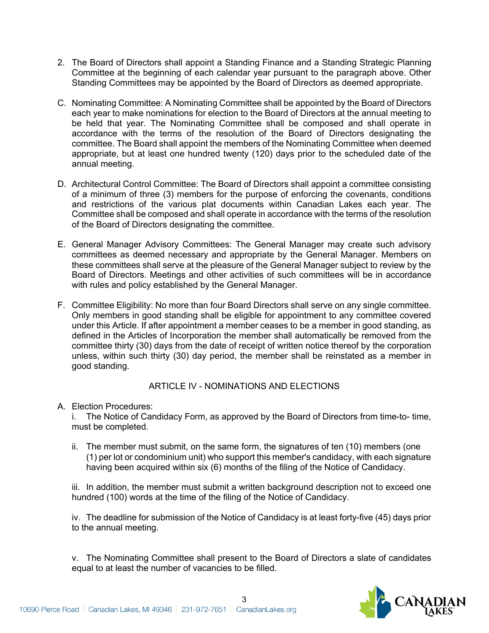- 2. The Board of Directors shall appoint a Standing Finance and a Standing Strategic Planning Committee at the beginning of each calendar year pursuant to the paragraph above. Other Standing Committees may be appointed by the Board of Directors as deemed appropriate.
- C. Nominating Committee: A Nominating Committee shall be appointed by the Board of Directors each year to make nominations for election to the Board of Directors at the annual meeting to be held that year. The Nominating Committee shall be composed and shall operate in accordance with the terms of the resolution of the Board of Directors designating the committee. The Board shall appoint the members of the Nominating Committee when deemed appropriate, but at least one hundred twenty (120) days prior to the scheduled date of the annual meeting.
- D. Architectural Control Committee: The Board of Directors shall appoint a committee consisting of a minimum of three (3) members for the purpose of enforcing the covenants, conditions and restrictions of the various plat documents within Canadian Lakes each year. The Committee shall be composed and shall operate in accordance with the terms of the resolution of the Board of Directors designating the committee.
- E. General Manager Advisory Committees: The General Manager may create such advisory committees as deemed necessary and appropriate by the General Manager. Members on these committees shall serve at the pleasure of the General Manager subject to review by the Board of Directors. Meetings and other activities of such committees will be in accordance with rules and policy established by the General Manager.
- F. Committee Eligibility: No more than four Board Directors shall serve on any single committee. Only members in good standing shall be eligible for appointment to any committee covered under this Article. If after appointment a member ceases to be a member in good standing, as defined in the Articles of Incorporation the member shall automatically be removed from the committee thirty (30) days from the date of receipt of written notice thereof by the corporation unless, within such thirty (30) day period, the member shall be reinstated as a member in good standing.

#### ARTICLE IV - NOMINATIONS AND ELECTIONS

#### A. Election Procedures:

i. The Notice of Candidacy Form, as approved by the Board of Directors from time-to- time, must be completed.

ii. The member must submit, on the same form, the signatures of ten (10) members (one (1) per lot or condominium unit) who support this member's candidacy, with each signature having been acquired within six (6) months of the filing of the Notice of Candidacy.

iii. In addition, the member must submit a written background description not to exceed one hundred (100) words at the time of the filing of the Notice of Candidacy.

iv. The deadline for submission of the Notice of Candidacy is at least forty-five (45) days prior to the annual meeting.

v. The Nominating Committee shall present to the Board of Directors a slate of candidates equal to at least the number of vacancies to be filled.

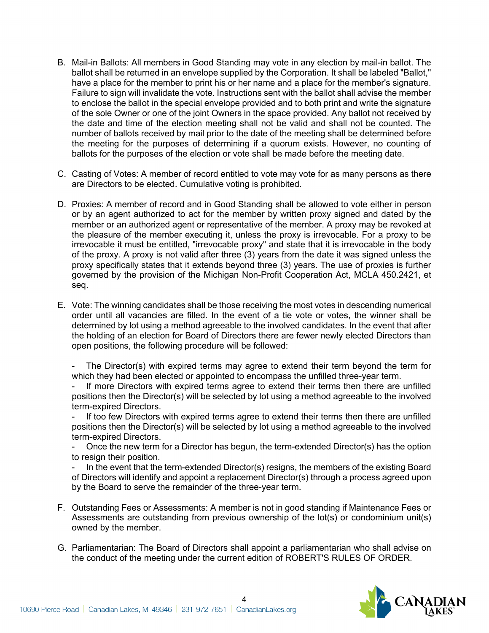- B. Mail-in Ballots: All members in Good Standing may vote in any election by mail-in ballot. The ballot shall be returned in an envelope supplied by the Corporation. It shall be labeled "Ballot," have a place for the member to print his or her name and a place for the member's signature. Failure to sign will invalidate the vote. Instructions sent with the ballot shall advise the member to enclose the ballot in the special envelope provided and to both print and write the signature of the sole Owner or one of the joint Owners in the space provided. Any ballot not received by the date and time of the election meeting shall not be valid and shall not be counted. The number of ballots received by mail prior to the date of the meeting shall be determined before the meeting for the purposes of determining if a quorum exists. However, no counting of ballots for the purposes of the election or vote shall be made before the meeting date.
- C. Casting of Votes: A member of record entitled to vote may vote for as many persons as there are Directors to be elected. Cumulative voting is prohibited.
- D. Proxies: A member of record and in Good Standing shall be allowed to vote either in person or by an agent authorized to act for the member by written proxy signed and dated by the member or an authorized agent or representative of the member. A proxy may be revoked at the pleasure of the member executing it, unless the proxy is irrevocable. For a proxy to be irrevocable it must be entitled, "irrevocable proxy" and state that it is irrevocable in the body of the proxy. A proxy is not valid after three (3) years from the date it was signed unless the proxy specifically states that it extends beyond three (3) years. The use of proxies is further governed by the provision of the Michigan Non-Profit Cooperation Act, MCLA 450.2421, et seq.
- E. Vote: The winning candidates shall be those receiving the most votes in descending numerical order until all vacancies are filled. In the event of a tie vote or votes, the winner shall be determined by lot using a method agreeable to the involved candidates. In the event that after the holding of an election for Board of Directors there are fewer newly elected Directors than open positions, the following procedure will be followed:

The Director(s) with expired terms may agree to extend their term beyond the term for which they had been elected or appointed to encompass the unfilled three-year term.

If more Directors with expired terms agree to extend their terms then there are unfilled positions then the Director(s) will be selected by lot using a method agreeable to the involved term-expired Directors.

If too few Directors with expired terms agree to extend their terms then there are unfilled positions then the Director(s) will be selected by lot using a method agreeable to the involved term-expired Directors.

- Once the new term for a Director has begun, the term-extended Director(s) has the option to resign their position.

In the event that the term-extended Director(s) resigns, the members of the existing Board of Directors will identify and appoint a replacement Director(s) through a process agreed upon by the Board to serve the remainder of the three-year term.

- F. Outstanding Fees or Assessments: A member is not in good standing if Maintenance Fees or Assessments are outstanding from previous ownership of the lot(s) or condominium unit(s) owned by the member.
- G. Parliamentarian: The Board of Directors shall appoint a parliamentarian who shall advise on the conduct of the meeting under the current edition of ROBERT'S RULES OF ORDER.

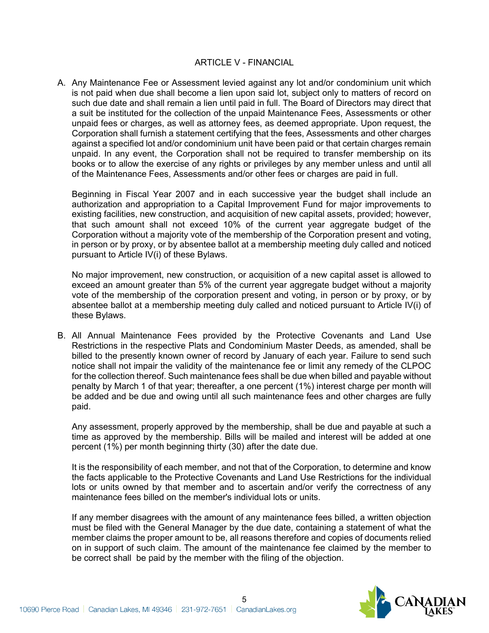#### ARTICLE V - FINANCIAL

A. Any Maintenance Fee or Assessment levied against any lot and/or condominium unit which is not paid when due shall become a lien upon said lot, subject only to matters of record on such due date and shall remain a lien until paid in full. The Board of Directors may direct that a suit be instituted for the collection of the unpaid Maintenance Fees, Assessments or other unpaid fees or charges, as well as attorney fees, as deemed appropriate. Upon request, the Corporation shall furnish a statement certifying that the fees, Assessments and other charges against a specified lot and/or condominium unit have been paid or that certain charges remain unpaid. In any event, the Corporation shall not be required to transfer membership on its books or to allow the exercise of any rights or privileges by any member unless and until all of the Maintenance Fees, Assessments and/or other fees or charges are paid in full.

Beginning in Fiscal Year 2007 and in each successive year the budget shall include an authorization and appropriation to a Capital Improvement Fund for major improvements to existing facilities, new construction, and acquisition of new capital assets, provided; however, that such amount shall not exceed 10% of the current year aggregate budget of the Corporation without a majority vote of the membership of the Corporation present and voting, in person or by proxy, or by absentee ballot at a membership meeting duly called and noticed pursuant to Article IV(i) of these Bylaws.

No major improvement, new construction, or acquisition of a new capital asset is allowed to exceed an amount greater than 5% of the current year aggregate budget without a majority vote of the membership of the corporation present and voting, in person or by proxy, or by absentee ballot at a membership meeting duly called and noticed pursuant to Article IV(i) of these Bylaws.

B. All Annual Maintenance Fees provided by the Protective Covenants and Land Use Restrictions in the respective Plats and Condominium Master Deeds, as amended, shall be billed to the presently known owner of record by January of each year. Failure to send such notice shall not impair the validity of the maintenance fee or limit any remedy of the CLPOC for the collection thereof. Such maintenance fees shall be due when billed and payable without penalty by March 1 of that year; thereafter, a one percent (1%) interest charge per month will be added and be due and owing until all such maintenance fees and other charges are fully paid.

Any assessment, properly approved by the membership, shall be due and payable at such a time as approved by the membership. Bills will be mailed and interest will be added at one percent (1%) per month beginning thirty (30) after the date due.

It is the responsibility of each member, and not that of the Corporation, to determine and know the facts applicable to the Protective Covenants and Land Use Restrictions for the individual lots or units owned by that member and to ascertain and/or verify the correctness of any maintenance fees billed on the member's individual lots or units.

If any member disagrees with the amount of any maintenance fees billed, a written objection must be filed with the General Manager by the due date, containing a statement of what the member claims the proper amount to be, all reasons therefore and copies of documents relied on in support of such claim. The amount of the maintenance fee claimed by the member to be correct shall be paid by the member with the filing of the objection.

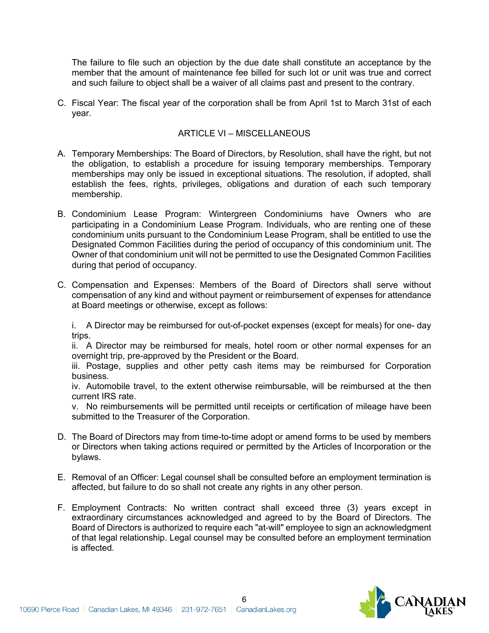The failure to file such an objection by the due date shall constitute an acceptance by the member that the amount of maintenance fee billed for such lot or unit was true and correct and such failure to object shall be a waiver of all claims past and present to the contrary.

C. Fiscal Year: The fiscal year of the corporation shall be from April 1st to March 31st of each year.

## ARTICLE VI – MISCELLANEOUS

- A. Temporary Memberships: The Board of Directors, by Resolution, shall have the right, but not the obligation, to establish a procedure for issuing temporary memberships. Temporary memberships may only be issued in exceptional situations. The resolution, if adopted, shall establish the fees, rights, privileges, obligations and duration of each such temporary membership.
- B. Condominium Lease Program: Wintergreen Condominiums have Owners who are participating in a Condominium Lease Program. Individuals, who are renting one of these condominium units pursuant to the Condominium Lease Program, shall be entitled to use the Designated Common Facilities during the period of occupancy of this condominium unit. The Owner of that condominium unit will not be permitted to use the Designated Common Facilities during that period of occupancy.
- C. Compensation and Expenses: Members of the Board of Directors shall serve without compensation of any kind and without payment or reimbursement of expenses for attendance at Board meetings or otherwise, except as follows:

i. A Director may be reimbursed for out-of-pocket expenses (except for meals) for one- day trips.

ii. A Director may be reimbursed for meals, hotel room or other normal expenses for an overnight trip, pre-approved by the President or the Board.

iii. Postage, supplies and other petty cash items may be reimbursed for Corporation business.

iv. Automobile travel, to the extent otherwise reimbursable, will be reimbursed at the then current IRS rate.

v. No reimbursements will be permitted until receipts or certification of mileage have been submitted to the Treasurer of the Corporation.

- D. The Board of Directors may from time-to-time adopt or amend forms to be used by members or Directors when taking actions required or permitted by the Articles of Incorporation or the bylaws.
- E. Removal of an Officer: Legal counsel shall be consulted before an employment termination is affected, but failure to do so shall not create any rights in any other person.
- F. Employment Contracts: No written contract shall exceed three (3) years except in extraordinary circumstances acknowledged and agreed to by the Board of Directors. The Board of Directors is authorized to require each "at-will" employee to sign an acknowledgment of that legal relationship. Legal counsel may be consulted before an employment termination is affected.

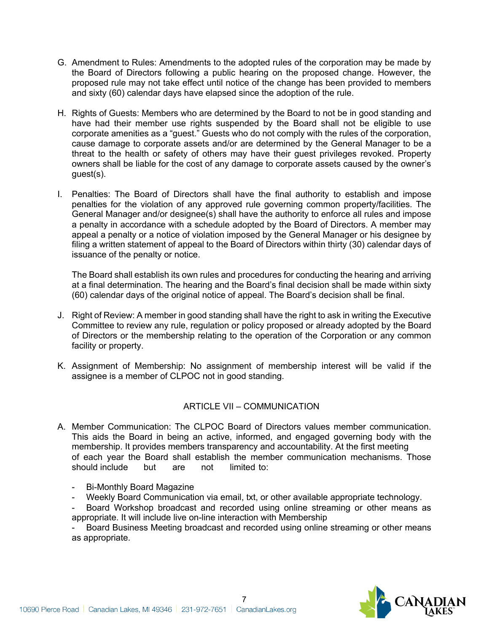- G. Amendment to Rules: Amendments to the adopted rules of the corporation may be made by the Board of Directors following a public hearing on the proposed change. However, the proposed rule may not take effect until notice of the change has been provided to members and sixty (60) calendar days have elapsed since the adoption of the rule.
- H. Rights of Guests: Members who are determined by the Board to not be in good standing and have had their member use rights suspended by the Board shall not be eligible to use corporate amenities as a "guest." Guests who do not comply with the rules of the corporation, cause damage to corporate assets and/or are determined by the General Manager to be a threat to the health or safety of others may have their guest privileges revoked. Property owners shall be liable for the cost of any damage to corporate assets caused by the owner's guest(s).
- I. Penalties: The Board of Directors shall have the final authority to establish and impose penalties for the violation of any approved rule governing common property/facilities. The General Manager and/or designee(s) shall have the authority to enforce all rules and impose a penalty in accordance with a schedule adopted by the Board of Directors. A member may appeal a penalty or a notice of violation imposed by the General Manager or his designee by filing a written statement of appeal to the Board of Directors within thirty (30) calendar days of issuance of the penalty or notice.

The Board shall establish its own rules and procedures for conducting the hearing and arriving at a final determination. The hearing and the Board's final decision shall be made within sixty (60) calendar days of the original notice of appeal. The Board's decision shall be final.

- J. Right of Review: A member in good standing shall have the right to ask in writing the Executive Committee to review any rule, regulation or policy proposed or already adopted by the Board of Directors or the membership relating to the operation of the Corporation or any common facility or property.
- K. Assignment of Membership: No assignment of membership interest will be valid if the assignee is a member of CLPOC not in good standing.

# ARTICLE VII – COMMUNICATION

- A. Member Communication: The CLPOC Board of Directors values member communication. This aids the Board in being an active, informed, and engaged governing body with the membership. It provides members transparency and accountability. At the first meeting of each year the Board shall establish the member communication mechanisms. Those should include but are not limited to:
	- Bi-Monthly Board Magazine
	- Weekly Board Communication via email, txt, or other available appropriate technology.
	- Board Workshop broadcast and recorded using online streaming or other means as appropriate. It will include live on-line interaction with Membership

Board Business Meeting broadcast and recorded using online streaming or other means as appropriate.